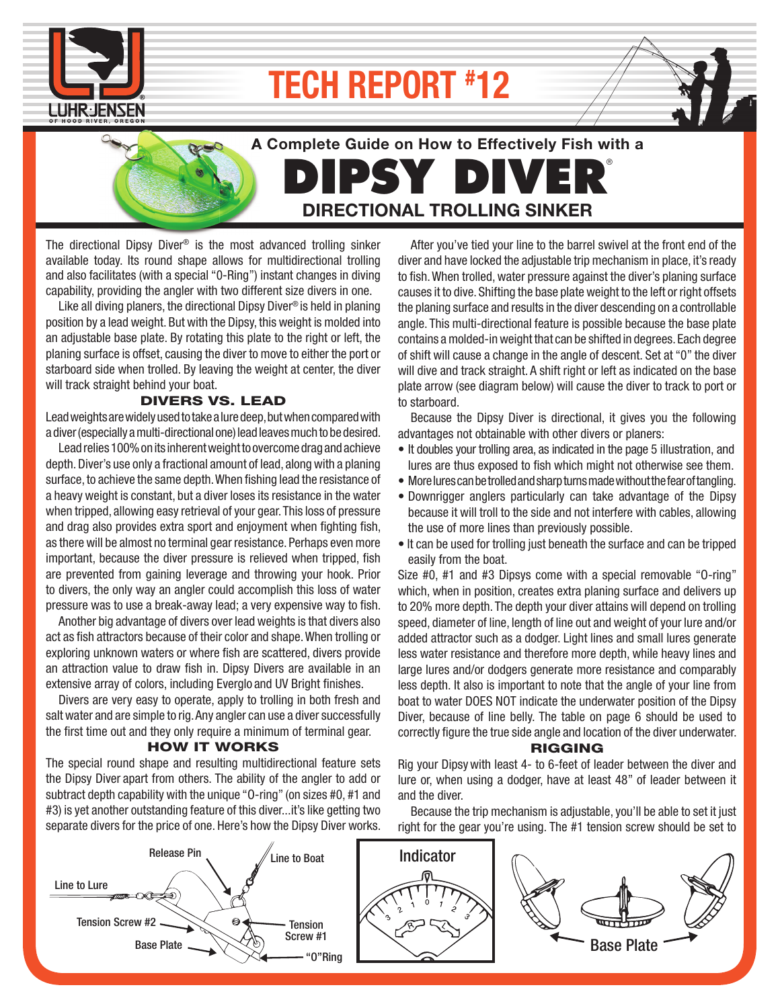

# **TECH REPORT # 12**



The directional Dipsy Diver<sup>®</sup> is the most advanced trolling sinker available today. Its round shape allows for multidirectional trolling and also facilitates (with a special "0-Ring") instant changes in diving capability, providing the angler with two different size divers in one.

Like all diving planers, the directional Dipsy Diver® is held in planing position by a lead weight. But with the Dipsy, this weight is molded into an adjustable base plate. By rotating this plate to the right or left, the planing surface is offset, causing the diver to move to either the port or starboard side when trolled. By leaving the weight at center, the diver will track straight behind your boat.

### DIVERS VS. LEAD

Lead weights are widely used to take a lure deep, but when compared with a diver (especially a multi-directional one) lead leaves much to be desired.

 Lead relies 100% on its inherent weight to overcome drag and achieve depth. Diver's use only a fractional amount of lead, along with a planing surface, to achieve the same depth. When fishing lead the resistance of a heavy weight is constant, but a diver loses its resistance in the water when tripped, allowing easy retrieval of your gear. This loss of pressure and drag also provides extra sport and enjoyment when fighting fish. as there will be almost no terminal gear resistance. Perhaps even more important, because the diver pressure is relieved when tripped, fish are prevented from gaining leverage and throwing your hook. Prior to divers, the only way an angler could accomplish this loss of water pressure was to use a break-away lead; a very expensive way to fish.

 Another big advantage of divers over lead weights is that divers also act as fish attractors because of their color and shape. When trolling or exploring unknown waters or where fish are scattered, divers provide an attraction value to draw fish in. Dipsy Divers are available in an extensive array of colors, including Everglo and UV Bright finishes.

 Divers are very easy to operate, apply to trolling in both fresh and salt water and are simple to rig. Any angler can use a diver successfully the first time out and they only require a minimum of terminal gear.

#### HOW IT WORKS

The special round shape and resulting multidirectional feature sets the Dipsy Diver apart from others. The ability of the angler to add or subtract depth capability with the unique "O-ring" (on sizes #0, #1 and #3) is yet another outstanding feature of this diver...it's like getting two separate divers for the price of one. Here's how the Dipsy Diver works.

 After you've tied your line to the barrel swivel at the front end of the diver and have locked the adjustable trip mechanism in place, it's ready to fish. When trolled, water pressure against the diver's planing surface causes it to dive. Shifting the base plate weight to the left or right offsets the planing surface and results in the diver descending on a controllable angle. This multi-directional feature is possible because the base plate contains a molded-in weight that can be shifted in degrees. Each degree of shift will cause a change in the angle of descent. Set at "0" the diver will dive and track straight. A shift right or left as indicated on the base plate arrow (see diagram below) will cause the diver to track to port or to starboard.

 Because the Dipsy Diver is directional, it gives you the following advantages not obtainable with other divers or planers:

- It doubles your trolling area, as indicated in the page 5 illustration, and lures are thus exposed to fish which might not otherwise see them.
- More lures can be trolled and sharp turns made without the fear of tangling.
- Downrigger anglers particularly can take advantage of the Dipsy because it will troll to the side and not interfere with cables, allowing the use of more lines than previously possible.
- It can be used for trolling just beneath the surface and can be tripped easily from the boat.

Size #0, #1 and #3 Dipsys come with a special removable "0-ring" which, when in position, creates extra planing surface and delivers up to 20% more depth. The depth your diver attains will depend on trolling speed, diameter of line, length of line out and weight of your lure and/or added attractor such as a dodger. Light lines and small lures generate less water resistance and therefore more depth, while heavy lines and large lures and/or dodgers generate more resistance and comparably less depth. It also is important to note that the angle of your line from boat to water DOES NOT indicate the underwater position of the Dipsy Diver, because of line belly. The table on page 6 should be used to correctly figure the true side angle and location of the diver underwater.

## RIGGING

Rig your Dipsywith least 4- to 6-feet of leader between the diver and lure or, when using a dodger, have at least 48" of leader between it and the diver.

 Because the trip mechanism is adjustable, you'll be able to set it just right for the gear you're using. The #1 tension screw should be set to